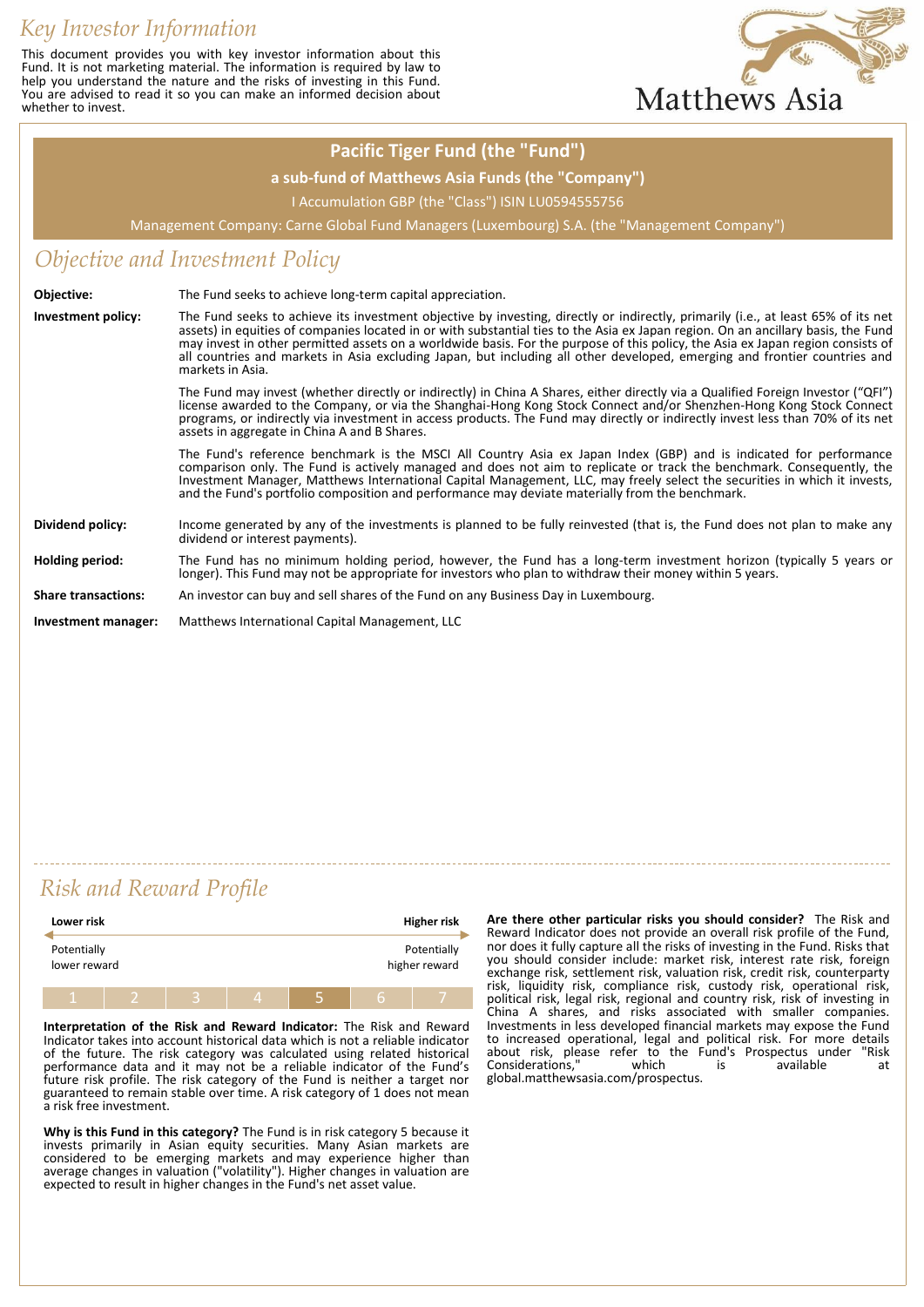# *Key Investor Information*

This document provides you with key investor information about this Fund. It is not marketing material. The information is required by law to help you understand the nature and the risks of investing in this Fund. You are advised to read it so you can make an informed decision about whether to invest.



### **Pacific Tiger Fund (the "Fund")**

#### **a sub-fund of Matthews Asia Funds (the "Company")**

I Accumulation GBP (the "Class") ISIN LU0594555756

Management Company: Carne Global Fund Managers (Luxembourg) S.A. (the "Management Company")

### *Objective and Investment Policy*

| Objective:                 | The Fund seeks to achieve long-term capital appreciation.                                                                                                                                                                                                                                                                                                                                                                                                                                                                                                  |  |
|----------------------------|------------------------------------------------------------------------------------------------------------------------------------------------------------------------------------------------------------------------------------------------------------------------------------------------------------------------------------------------------------------------------------------------------------------------------------------------------------------------------------------------------------------------------------------------------------|--|
| <b>Investment policy:</b>  | The Fund seeks to achieve its investment objective by investing, directly or indirectly, primarily (i.e., at least 65% of its net<br>assets) in equities of companies located in or with substantial ties to the Asia ex Japan region. On an ancillary basis, the Fund<br>may invest in other permitted assets on a worldwide basis. For the purpose of this policy, the Asia ex Japan region consists of<br>all countries and markets in Asia excluding Japan, but including all other developed, emerging and frontier countries and<br>markets in Asia. |  |
|                            | The Fund may invest (whether directly or indirectly) in China A Shares, either directly via a Qualified Foreign Investor ("QFI")<br>license awarded to the Company, or via the Shanghai-Hong Kong Stock Connect and/or Shenzhen-Hong Kong Stock Connect<br>programs, or indirectly via investment in access products. The Fund may directly or indirectly invest less than 70% of its net<br>assets in aggregate in China A and B Shares.                                                                                                                  |  |
|                            | The Fund's reference benchmark is the MSCI All Country Asia ex Japan Index (GBP) and is indicated for performance<br>comparison only. The Fund is actively managed and does not aim to replicate or track the benchmark. Consequently, the<br>Investment Manager, Matthews International Capital Management, LLC, may freely select the securities in which it invests,<br>and the Fund's portfolio composition and performance may deviate materially from the benchmark.                                                                                 |  |
| Dividend policy:           | Income generated by any of the investments is planned to be fully reinvested (that is, the Fund does not plan to make any<br>dividend or interest payments).                                                                                                                                                                                                                                                                                                                                                                                               |  |
| Holding period:            | The Fund has no minimum holding period, however, the Fund has a long-term investment horizon (typically 5 years or<br>longer). This Fund may not be appropriate for investors who plan to withdraw their money within 5 years.                                                                                                                                                                                                                                                                                                                             |  |
| <b>Share transactions:</b> | An investor can buy and sell shares of the Fund on any Business Day in Luxembourg.                                                                                                                                                                                                                                                                                                                                                                                                                                                                         |  |
| Investment manager:        | Matthews International Capital Management, LLC                                                                                                                                                                                                                                                                                                                                                                                                                                                                                                             |  |

## *Risk and Reward Profile*

| Lower risk                  |  |  |  |  |   | Higher risk                  |
|-----------------------------|--|--|--|--|---|------------------------------|
| Potentially<br>lower reward |  |  |  |  |   | Potentially<br>higher reward |
|                             |  |  |  |  | a |                              |

**Interpretation of the Risk and Reward Indicator:** The Risk and Reward Indicator takes into account historical data which is not a reliable indicator of the future. The risk category was calculated using related historical performance data and it may not be a reliable indicator of the Fund's future risk profile. The risk category of the Fund is neither a target nor guaranteed to remain stable over time. A risk category of 1 does not mean a risk free investment.

**Why is this Fund in this category?** The Fund is in risk category 5 because it invests primarily in Asian equity securities. Many Asian markets are considered to be emerging markets and may experience higher than average changes in valuation ("volatility"). Higher changes in valuation are expected to result in higher changes in the Fund's net asset value.

**Are there other particular risks you should consider?** The Risk and Reward Indicator does not provide an overall risk profile of the Fund, nor does it fully capture all the risks of investing in the Fund. Risks that you should consider include: market risk, interest rate risk, foreign exchange risk, settlement risk, valuation risk, credit risk, counterparty risk, liquidity risk, compliance risk, custody risk, operational risk, political risk, legal risk, regional and country risk, risk of investing in China A shares, and risks associated with smaller companies. Investments in less developed financial markets may expose the Fund to increased operational, legal and political risk. For more details about risk, please refer to the Fund's Prospectus under "Risk Considerations," which is available at global.matthewsasia.com/prospectus.